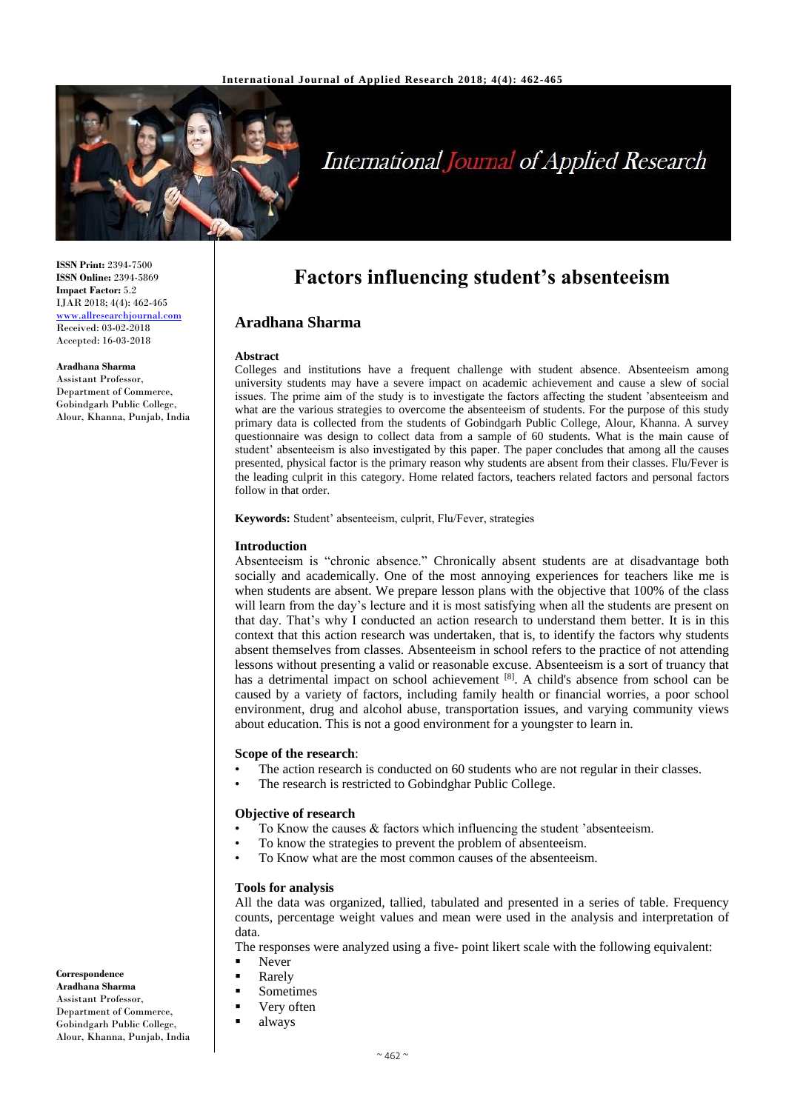

# **International Journal of Applied Research**

**ISSN Print:** 2394-7500 **ISSN Online:** 2394-5869 **Impact Factor:** 5.2 IJAR 2018; 4(4): 462-465 [www.allresearchjournal.com](http://www.allresearchjournal.com/) Received: 03-02-2018 Accepted: 16-03-2018

#### **Aradhana Sharma**

Assistant Professor, Department of Commerce, Gobindgarh Public College, Alour, Khanna, Punjab, India

# **Factors influencing student's absenteeism**

# **Aradhana Sharma**

#### **Abstract**

Colleges and institutions have a frequent challenge with student absence. Absenteeism among university students may have a severe impact on academic achievement and cause a slew of social issues. The prime aim of the study is to investigate the factors affecting the student 'absenteeism and what are the various strategies to overcome the absenteeism of students. For the purpose of this study primary data is collected from the students of Gobindgarh Public College, Alour, Khanna. A survey questionnaire was design to collect data from a sample of 60 students. What is the main cause of student' absenteeism is also investigated by this paper. The paper concludes that among all the causes presented, physical factor is the primary reason why students are absent from their classes. Flu/Fever is the leading culprit in this category. Home related factors, teachers related factors and personal factors follow in that order.

**Keywords:** Student' absenteeism, culprit, Flu/Fever, strategies

#### **Introduction**

Absenteeism is "chronic absence." Chronically absent students are at disadvantage both socially and academically. One of the most annoying experiences for teachers like me is when students are absent. We prepare lesson plans with the objective that 100% of the class will learn from the day's lecture and it is most satisfying when all the students are present on that day. That's why I conducted an action research to understand them better. It is in this context that this action research was undertaken, that is, to identify the factors why students absent themselves from classes. Absenteeism in school refers to the practice of not attending lessons without presenting a valid or reasonable excuse. Absenteeism is a sort of truancy that has a detrimental impact on school achievement [8]. A child's absence from school can be caused by a variety of factors, including family health or financial worries, a poor school environment, drug and alcohol abuse, transportation issues, and varying community views about education. This is not a good environment for a youngster to learn in.

#### **Scope of the research**:

- The action research is conducted on 60 students who are not regular in their classes.
- The research is restricted to Gobindghar Public College.

#### **Objective of research**

- To Know the causes  $&$  factors which influencing the student 'absenteeism.
- To know the strategies to prevent the problem of absenteeism.
- To Know what are the most common causes of the absenteeism.

#### **Tools for analysis**

All the data was organized, tallied, tabulated and presented in a series of table. Frequency counts, percentage weight values and mean were used in the analysis and interpretation of data.

The responses were analyzed using a five- point likert scale with the following equivalent:

- **Never**
- Rarely
- **Sometimes**
- Very often
- **always**

Department of Commerce, Gobindgarh Public College, Alour, Khanna, Punjab, India

**Correspondence Aradhana Sharma** Assistant Professor,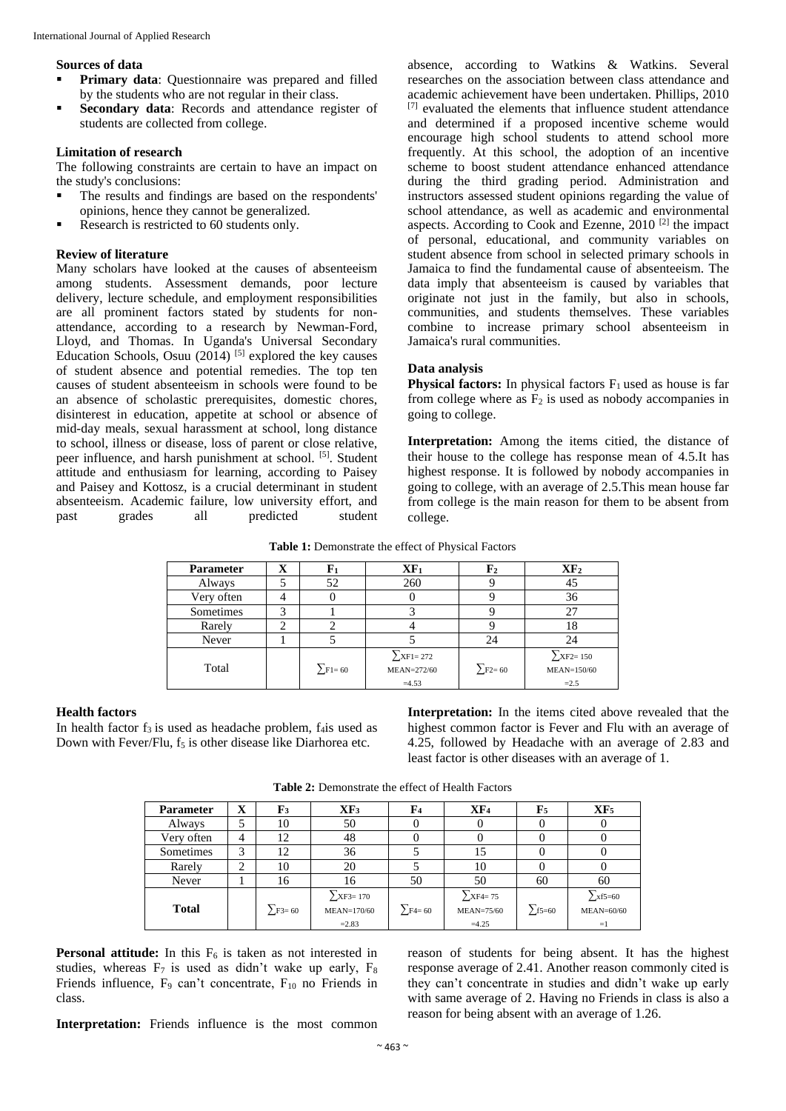#### **Sources of data**

- **Primary data**: Questionnaire was prepared and filled by the students who are not regular in their class.
- **Secondary data**: Records and attendance register of students are collected from college.

# **Limitation of research**

The following constraints are certain to have an impact on the study's conclusions:

- The results and findings are based on the respondents' opinions, hence they cannot be generalized.
- Research is restricted to 60 students only.

### **Review of literature**

Many scholars have looked at the causes of absenteeism among students. Assessment demands, poor lecture delivery, lecture schedule, and employment responsibilities are all prominent factors stated by students for nonattendance, according to a research by Newman-Ford, Lloyd, and Thomas. In Uganda's Universal Secondary Education Schools, Osuu (2014) <sup>[5]</sup> explored the key causes of student absence and potential remedies. The top ten causes of student absenteeism in schools were found to be an absence of scholastic prerequisites, domestic chores, disinterest in education, appetite at school or absence of mid-day meals, sexual harassment at school, long distance to school, illness or disease, loss of parent or close relative, peer influence, and harsh punishment at school. [5]. Student attitude and enthusiasm for learning, according to Paisey and Paisey and Kottosz, is a crucial determinant in student absenteeism. Academic failure, low university effort, and past grades all predicted student

absence, according to Watkins & Watkins. Several researches on the association between class attendance and academic achievement have been undertaken. Phillips, 2010  $[7]$  evaluated the elements that influence student attendance and determined if a proposed incentive scheme would encourage high school students to attend school more frequently. At this school, the adoption of an incentive scheme to boost student attendance enhanced attendance during the third grading period. Administration and instructors assessed student opinions regarding the value of school attendance, as well as academic and environmental aspects. According to Cook and Ezenne, 2010 [2] the impact of personal, educational, and community variables on student absence from school in selected primary schools in Jamaica to find the fundamental cause of absenteeism. The data imply that absenteeism is caused by variables that originate not just in the family, but also in schools, communities, and students themselves. These variables combine to increase primary school absenteeism in Jamaica's rural communities.

#### **Data analysis**

**Physical factors:** In physical factors  $F_1$  used as house is far from college where as  $F_2$  is used as nobody accompanies in going to college.

**Interpretation:** Among the items citied, the distance of their house to the college has response mean of 4.5.It has highest response. It is followed by nobody accompanies in going to college, with an average of 2.5.This mean house far from college is the main reason for them to be absent from college.

**Table 1:** Demonstrate the effect of Physical Factors

| <b>Parameter</b> | $\mathbf X$ | F1                         | $XF_1$                                     | ${\bf F}_2$              | XF <sub>2</sub>                                |  |
|------------------|-------------|----------------------------|--------------------------------------------|--------------------------|------------------------------------------------|--|
| Always           |             | 52                         | 260                                        |                          | 45                                             |  |
| Very often       |             |                            |                                            |                          | 36                                             |  |
| Sometimes        | 3           |                            |                                            |                          | 27                                             |  |
| Rarely           |             |                            |                                            |                          | 18                                             |  |
| Never            |             |                            |                                            | 24                       | 24                                             |  |
| Total            |             | $\Sigma$ F <sub>1=60</sub> | $\sum$ XF1=272<br>$MEAN=272/60$<br>$=4.53$ | $\sum$ F <sub>2=60</sub> | $\sum$ XF2=150<br><b>MEAN=150/60</b><br>$=2.5$ |  |

#### **Health factors**

In health factor  $f_3$  is used as headache problem,  $f_4$ is used as Down with Fever/Flu,  $f_5$  is other disease like Diarhorea etc.

**Interpretation:** In the items cited above revealed that the highest common factor is Fever and Flu with an average of 4.25, followed by Headache with an average of 2.83 and least factor is other diseases with an average of 1.

**Table 2:** Demonstrate the effect of Health Factors

| <b>Parameter</b> | X      | ${\bf F_3}$   | XF <sub>3</sub>                            | $\mathbf{F}_4$  | XF <sub>4</sub>                               | ${\bf F}_5$  | XF <sub>5</sub>                       |
|------------------|--------|---------------|--------------------------------------------|-----------------|-----------------------------------------------|--------------|---------------------------------------|
| Always           | 5      | 10            | 50                                         |                 |                                               |              |                                       |
| Very often       | 4      | 12            | 48                                         |                 |                                               |              |                                       |
| Sometimes        | 3      | 12            | 36                                         |                 | 15                                            |              |                                       |
| Rarely           | C<br>∠ | 10            | 20                                         |                 | 10                                            |              |                                       |
| Never            |        | 16            | 16                                         | 50              | 50                                            | 60           | 60                                    |
| <b>Total</b>     |        | $\sum$ F3= 60 | $\sum$ XF3=170<br>$MEAN=170/60$<br>$=2.83$ | $\Sigma$ F4= 60 | $\sum$ XF4=75<br><b>MEAN=75/60</b><br>$=4.25$ | $\sum$ f5=60 | $\sum$ xf5=60<br>$MEAN=60/60$<br>$=1$ |

**Personal attitude:** In this  $F_6$  is taken as not interested in studies, whereas  $F_7$  is used as didn't wake up early,  $F_8$ Friends influence,  $F_9$  can't concentrate,  $F_{10}$  no Friends in class.

reason of students for being absent. It has the highest response average of 2.41. Another reason commonly cited is they can't concentrate in studies and didn't wake up early with same average of 2. Having no Friends in class is also a reason for being absent with an average of 1.26.

**Interpretation:** Friends influence is the most common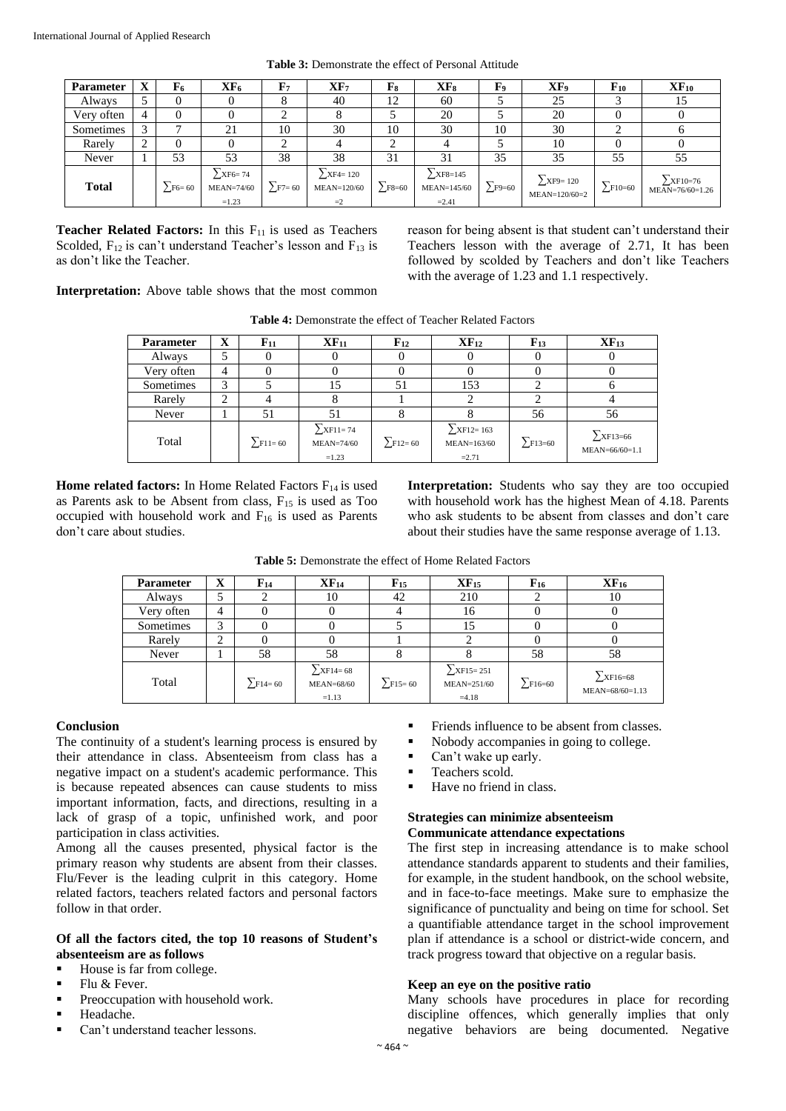| <b>Parameter</b> | X                   | F6            | XF <sub>6</sub>                               | $\mathbf{F}_{7}$ | XF <sub>7</sub>                                | F <sub>8</sub> | $XF_8$                                          | F,             | XF <sub>9</sub>                   | $\mathbf{F}_{10}$ | $\mathbf{XF}_{10}$                      |
|------------------|---------------------|---------------|-----------------------------------------------|------------------|------------------------------------------------|----------------|-------------------------------------------------|----------------|-----------------------------------|-------------------|-----------------------------------------|
| Always           |                     |               |                                               |                  | 40                                             | 12             | 60                                              |                | 25                                |                   | 15                                      |
| Very often       | 4                   |               |                                               | ◠                |                                                |                | 20                                              |                | 20                                |                   | v                                       |
| Sometimes        | 3                   |               | 21                                            | 10               | 30                                             | 10             | 30                                              | 10             | 30                                |                   | 0                                       |
| Rarely           | ◠<br>$\overline{ }$ |               |                                               | ◠                |                                                |                |                                                 |                | 10                                |                   | v                                       |
| Never            |                     | 53            | 53                                            | 38               | 38                                             | 31             | 31                                              | 35             | 35                                | 55                | 55                                      |
| <b>Total</b>     |                     | $\sum$ F6= 60 | $\sum$ XF6=74<br><b>MEAN=74/60</b><br>$=1.23$ | $\Sigma$ F7= 60  | $\Sigma$ XF4=120<br><b>MEAN=120/60</b><br>$=2$ | $\Sigma$ F8=60 | $\sum$ XF8=145<br><b>MEAN=145/60</b><br>$=2.41$ | $\Sigma$ F9=60 | $\sum$ XF9=120<br>$MEAN=120/60=2$ | $\Sigma$ F10=60   | $\sum$ XF10=76<br>$MEAN = 76/60 = 1.26$ |

**Table 3:** Demonstrate the effect of Personal Attitude

**Teacher Related Factors:** In this F<sub>11</sub> is used as Teachers Scolded,  $F_{12}$  is can't understand Teacher's lesson and  $F_{13}$  is as don't like the Teacher.

reason for being absent is that student can't understand their Teachers lesson with the average of 2.71, It has been followed by scolded by Teachers and don't like Teachers with the average of 1.23 and 1.1 respectively.

**Interpretation:** Above table shows that the most common

**Table 4:** Demonstrate the effect of Teacher Related Factors

| Parameter  | X | $\mathbf{F}_{11}$ | $XF_{11}$                                                   | $\mathbf{F}_{12}$ | $\mathbf{XF}_{12}$                        | $F_{13}$        | $XF_{13}$                        |
|------------|---|-------------------|-------------------------------------------------------------|-------------------|-------------------------------------------|-----------------|----------------------------------|
| Always     |   |                   |                                                             |                   |                                           |                 |                                  |
| Very often | 4 |                   |                                                             |                   |                                           |                 |                                  |
| Sometimes  | 3 |                   | 15                                                          | 51                | 153                                       |                 |                                  |
| Rarely     | ◠ |                   |                                                             |                   |                                           |                 |                                  |
| Never      |   | 51                | 51                                                          | ◠                 |                                           | 56              | 56                               |
| Total      |   | $\Sigma$ F11=60   | $\Sigma$ <sub>XF11=74</sub><br><b>MEAN=74/60</b><br>$=1.23$ | $\Sigma$ F12=60   | $\sum$ XF12=163<br>MEAN=163/60<br>$=2.71$ | $\Sigma$ F13=60 | $\sum$ XF13=66<br>MEAN=66/60=1.1 |

**Home related factors:** In Home Related Factors F<sub>14</sub> is used as Parents ask to be Absent from class,  $F_{15}$  is used as Too occupied with household work and  $F_{16}$  is used as Parents don't care about studies.

**Interpretation:** Students who say they are too occupied with household work has the highest Mean of 4.18. Parents who ask students to be absent from classes and don't care about their studies have the same response average of 1.13.

| <b>Parameter</b> | $\mathbf X$    | $F_{14}$      | XF <sub>14</sub>                                  | $F_{15}$        | XF <sub>15</sub>                          | $F_{16}$        | XF <sub>16</sub>                    |
|------------------|----------------|---------------|---------------------------------------------------|-----------------|-------------------------------------------|-----------------|-------------------------------------|
| Always           |                |               | 10                                                | 42              | 210                                       |                 | 10                                  |
| Very often       | $\overline{4}$ |               |                                                   |                 | 16                                        |                 |                                     |
| Sometimes        | 3              |               |                                                   |                 | 15                                        |                 |                                     |
| Rarely           | ↑              |               |                                                   |                 |                                           |                 |                                     |
| Never            |                | 58            | 58                                                | x               |                                           | 58              | 58                                  |
| Total            |                | $\sum$ F14=60 | $\Sigma$ XF14= 68<br><b>MEAN=68/60</b><br>$=1.13$ | $\Sigma$ F15=60 | $\sum$ XF15=251<br>MEAN=251/60<br>$=4.18$ | $\Sigma$ F16=60 | $\Sigma$ XF16=68<br>MEAN=68/60=1.13 |

**Table 5:** Demonstrate the effect of Home Related Factors

# **Conclusion**

The continuity of a student's learning process is ensured by their attendance in class. Absenteeism from class has a negative impact on a student's academic performance. This is because repeated absences can cause students to miss important information, facts, and directions, resulting in a lack of grasp of a topic, unfinished work, and poor participation in class activities.

Among all the causes presented, physical factor is the primary reason why students are absent from their classes. Flu/Fever is the leading culprit in this category. Home related factors, teachers related factors and personal factors follow in that order.

# **Of all the factors cited, the top 10 reasons of Student's absenteeism are as follows**

- House is far from college.
- $\blacksquare$  Flu & Fever.
- **Preoccupation with household work.**
- Headache.
- Can't understand teacher lessons.
- Friends influence to be absent from classes.
- Nobody accompanies in going to college.
- Can't wake up early.<br>  $T$ eachers scold
- Teachers scold.<br> $H<sub>2</sub>$  and  $H<sub>3</sub>$  are set of the set of the set of the set of the set of the set of the set of the set of the set of the set of the set of the set of the set of the set of the set of the set of the
- Have no friend in class.

### **Strategies can minimize absenteeism Communicate attendance expectations**

The first step in increasing attendance is to make school attendance standards apparent to students and their families, for example, in the student handbook, on the school website, and in face-to-face meetings. Make sure to emphasize the significance of punctuality and being on time for school. Set a quantifiable attendance target in the school improvement plan if attendance is a school or district-wide concern, and track progress toward that objective on a regular basis.

# **Keep an eye on the positive ratio**

Many schools have procedures in place for recording discipline offences, which generally implies that only negative behaviors are being documented. Negative